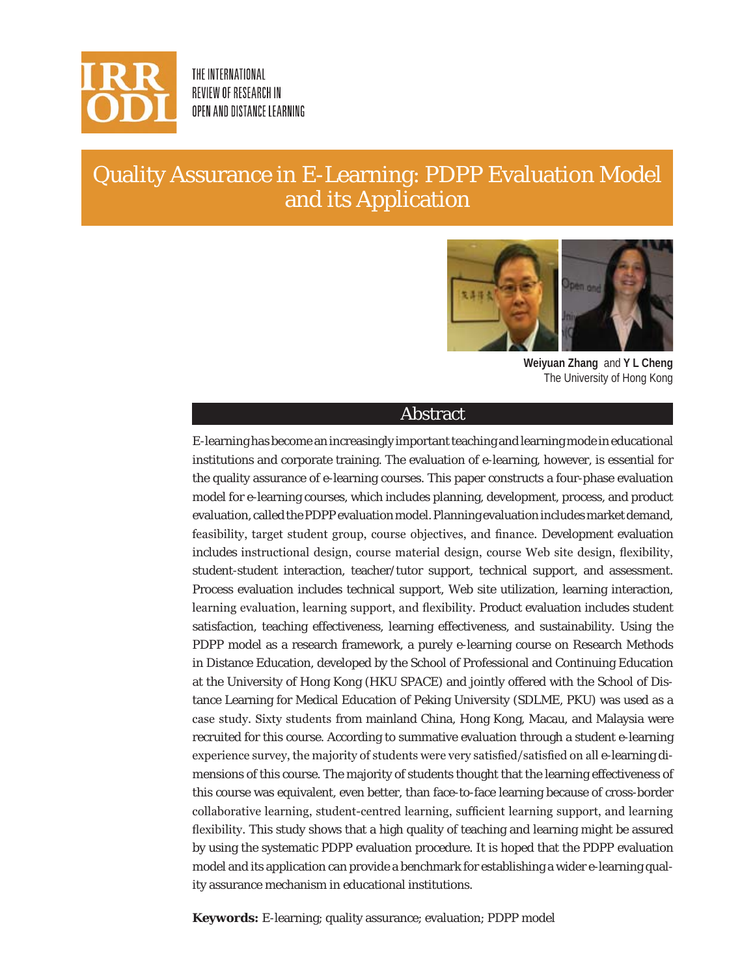

THE INTERNATIONAL REVIEW OF RESEARCH IN OPEN AND DISTANCE LEARNING

# Quality Assurance in E-Learning: PDPP Evaluation Model and its Application



 **Weiyuan Zhang** and **Y L Cheng** The University of Hong Kong

### Abstract

E-learning has become an increasingly important teaching and learning mode in educational institutions and corporate training. The evaluation of e-learning, however, is essential for the quality assurance of e-learning courses. This paper constructs a four-phase evaluation model for e-learning courses, which includes planning, development, process, and product evaluation, called the PDPP evaluation model. Planning evaluation includes market demand, feasibility, target student group, course objectives, and finance. Development evaluation includes instructional design, course material design, course Web site design, flexibility, student-student interaction, teacher/tutor support, technical support, and assessment. Process evaluation includes technical support, Web site utilization, learning interaction, Learning evaluation, learning support, and flexibility. Product evaluation includes student satisfaction, teaching effectiveness, learning effectiveness, and sustainability. Using the PDPP model as a research framework, a purely e-learning course on Research Methods in Distance Education, developed by the School of Professional and Continuing Education at the University of Hong Kong (HKU SPACE) and jointly offered with the School of Distance Learning for Medical Education of Peking University (SDLME, PKU) was used as a case study. Sixty students from mainland China, Hong Kong, Macau, and Malaysia were recruited for this course. According to summative evaluation through a student e-learning experience survey, the majority of students were very satisfied/satisfied on all e-learning dimensions of this course. The majority of students thought that the learning effectiveness of this course was equivalent, even better, than face-to-face learning because of cross-border collaborative learning, student-centred learning, sufficient learning support, and learning flexibility. This study shows that a high quality of teaching and learning might be assured by using the systematic PDPP evaluation procedure. It is hoped that the PDPP evaluation model and its application can provide a benchmark for establishing a wider e-learning quality assurance mechanism in educational institutions.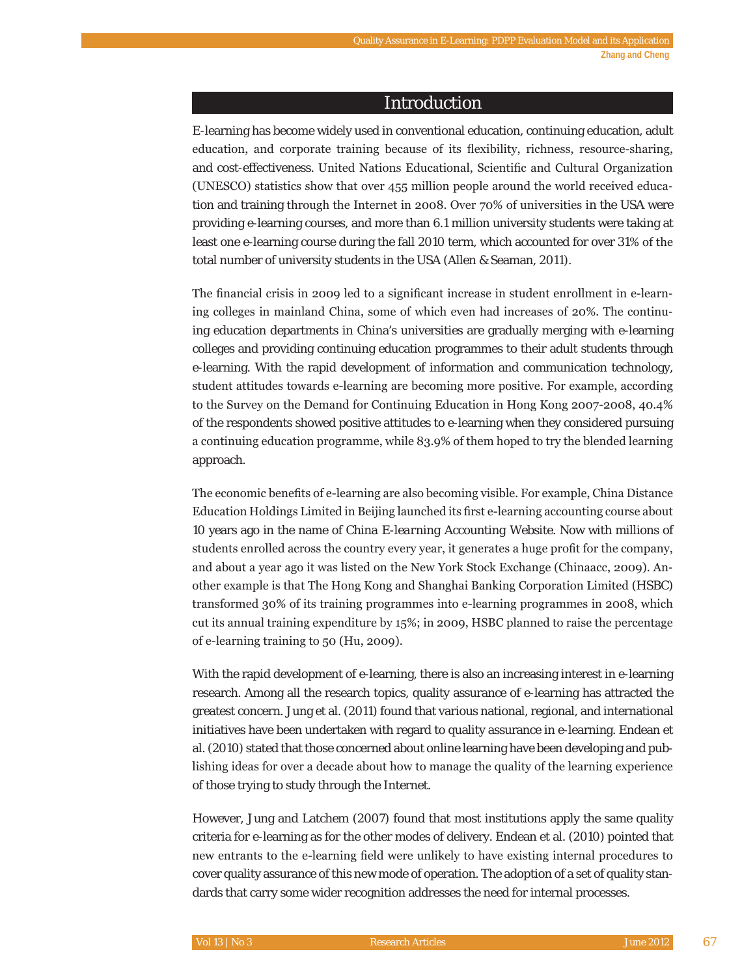#### Introduction

E-learning has become widely used in conventional education, continuing education, adult education, and corporate training because of its flexibility, richness, resource-sharing, and cost-effectiveness. United Nations Educational, Scientific and Cultural Organization (UNESCO) statistics show that over 455 million people around the world received education and training through the Internet in 2008. Over 70% of universities in the USA were providing e-learning courses, and more than 6.1 million university students were taking at least one e-learning course during the fall 2010 term, which accounted for over 31% of the total number of university students in the USA (Allen & Seaman, 2011).

The financial crisis in 2009 led to a significant increase in student enrollment in e-learning colleges in mainland China, some of which even had increases of  $20\%$ . The continuing education departments in China's universities are gradually merging with e-learning colleges and providing continuing education programmes to their adult students through e-learning. With the rapid development of information and communication technology, student attitudes towards e-learning are becoming more positive. For example, according to the Survey on the Demand for Continuing Education in Hong Kong 2007-2008, 40.4% of the respondents showed positive attitudes to e-learning when they considered pursuing a continuing education programme, while 83.9% of them hoped to try the blended learning approach.

The economic benefits of e-learning are also becoming visible. For example, China Distance Education Holdings Limited in Beijing launched its first e-learning accounting course about 10 years ago in the name of *China E-learning Accounting Website.* Now with millions of students enrolled across the country every year, it generates a huge profit for the company, and about a year ago it was listed on the New York Stock Exchange (Chinaacc, 2009). Another example is that The Hong Kong and Shanghai Banking Corporation Limited (HSBC) transformed 30% of its training programmes into e-learning programmes in 2008, which cut its annual training expenditure by  $15\%$ ; in 2009, HSBC planned to raise the percentage of e-learning training to  $50$  (Hu, 2009).

With the rapid development of e-learning, there is also an increasing interest in e-learning research. Among all the research topics, quality assurance of e-learning has attracted the greatest concern. Jung et al. (2011) found that various national, regional, and international initiatives have been undertaken with regard to quality assurance in e-learning. Endean et al. (2010) stated that those concerned about online learning have been developing and publishing ideas for over a decade about how to manage the quality of the learning experience of those trying to study through the Internet.

However, Jung and Latchem (2007) found that most institutions apply the same quality criteria for e-learning as for the other modes of delivery. Endean et al. (2010) pointed that new entrants to the e-learning field were unlikely to have existing internal procedures to cover quality assurance of this new mode of operation. The adoption of a set of quality standards that carry some wider recognition addresses the need for internal processes.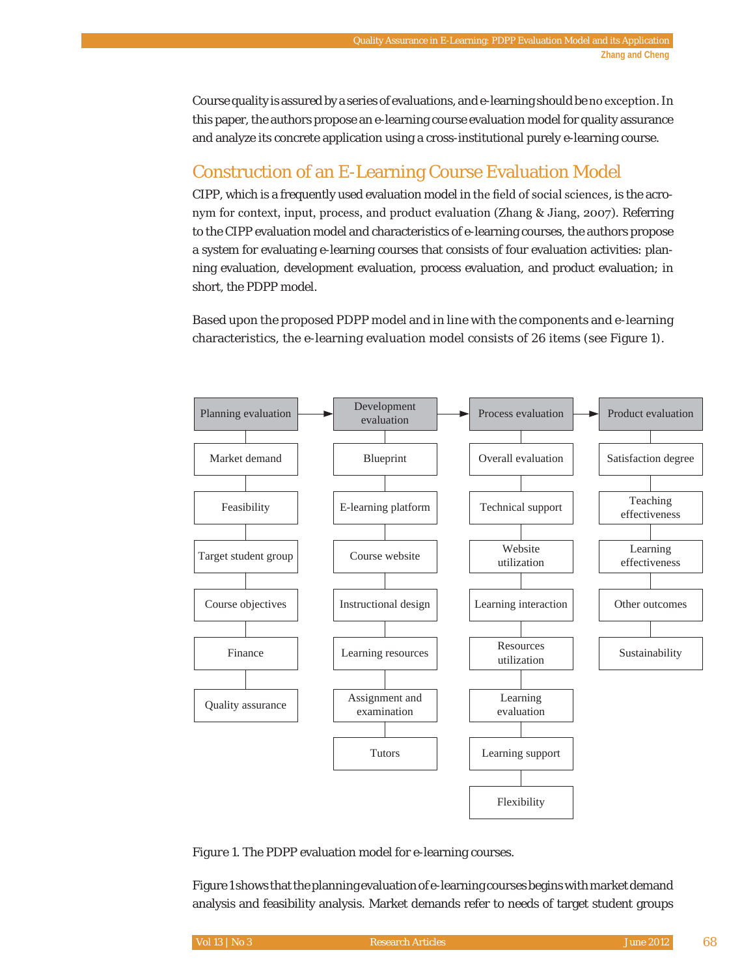Course quality is assured by a series of evaluations, and e-learning should be no exception. In this paper, the authors propose an e-learning course evaluation model for quality assurance and analyze its concrete application using a cross-institutional purely e-learning course.

## Construction of an E-Learning Course Evaluation Model

CIPP, which is a frequently used evaluation model in the field of social sciences, is the acronym for context, input, process, and product evaluation (Zhang & Jiang, 2007). Referring to the CIPP evaluation model and characteristics of e-learning courses, the authors propose a system for evaluating e-learning courses that consists of four evaluation activities: planning evaluation, development evaluation, process evaluation, and product evaluation; in short, the PDPP model.

Based upon the proposed PDPP model and in line with the components and e-learning characteristics, the e-learning evaluation model consists of 26 items (see Figure 1).



*Figure 1*. The PDPP evaluation model for e-learning courses.

Figure 1 shows that the planning evaluation of e-learning courses begins with market demand analysis and feasibility analysis. Market demands refer to needs of target student groups

| Vol 13   No 3 | <b>Research Articles</b> | ' June 2012 |  |
|---------------|--------------------------|-------------|--|
|               |                          |             |  |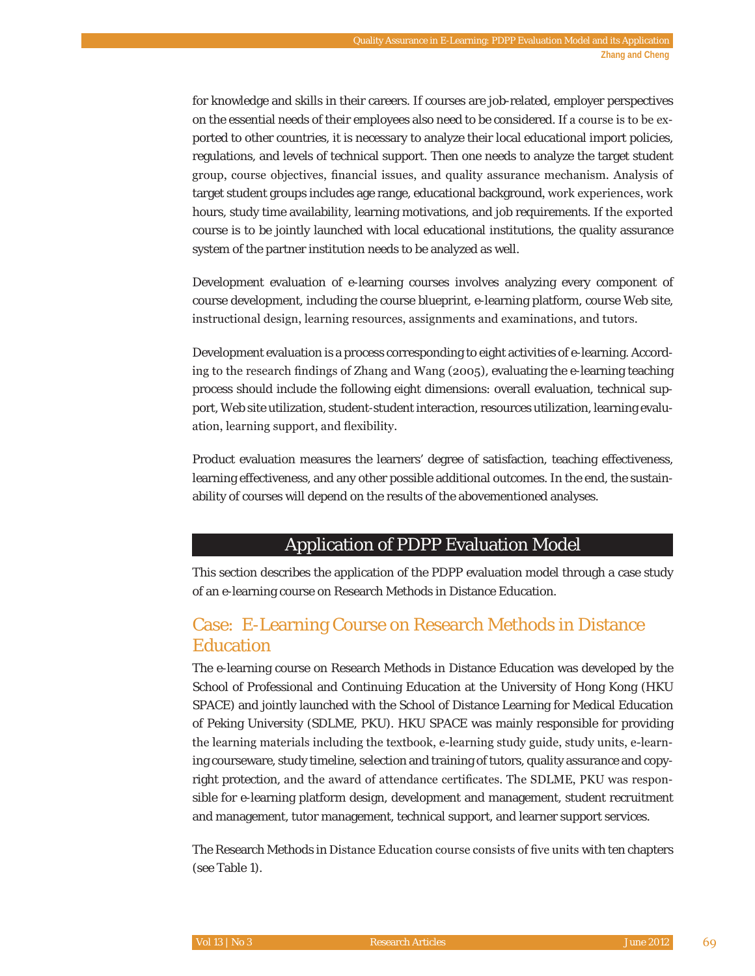for knowledge and skills in their careers. If courses are job-related, employer perspectives on the essential needs of their employees also need to be considered. If a course is to be exported to other countries, it is necessary to analyze their local educational import policies, regulations, and levels of technical support. Then one needs to analyze the target student group, course objectives, financial issues, and quality assurance mechanism. Analysis of target student groups includes age range, educational background, work experiences, work hours, study time availability, learning motivations, and job requirements. If the exported course is to be jointly launched with local educational institutions, the quality assurance system of the partner institution needs to be analyzed as well.

Development evaluation of e-learning courses involves analyzing every component of course development, including the course blueprint, e-learning platform, course Web site, instructional design, learning resources, assignments and examinations, and tutors.

Development evaluation is a process corresponding to eight activities of e-learning. According to the research findings of Zhang and Wang (2005), evaluating the e-learning teaching process should include the following eight dimensions: overall evaluation, technical support, Web site utilization, student-student interaction, resources utilization, learning evaluation, learning support, and flexibility.

Product evaluation measures the learners' degree of satisfaction, teaching effectiveness, learning effectiveness, and any other possible additional outcomes. In the end, the sustainability of courses will depend on the results of the abovementioned analyses.

## Application of PDPP Evaluation Model

This section describes the application of the PDPP evaluation model through a case study of an e-learning course on Research Methods in Distance Education.

## Case: E-Learning Course on Research Methods in Distance Education

The e-learning course on Research Methods in Distance Education was developed by the School of Professional and Continuing Education at the University of Hong Kong (HKU SPACE) and jointly launched with the School of Distance Learning for Medical Education of Peking University (SDLME, PKU). HKU SPACE was mainly responsible for providing the learning materials including the textbook, e-learning study guide, study units, e-learning courseware, study timeline, selection and training of tutors, quality assurance and copyright protection, and the award of attendance certificates. The SDLME, PKU was responsible for e-learning platform design, development and management, student recruitment and management, tutor management, technical support, and learner support services.

The Research Methods in Distance Education course consists of five units with ten chapters (see Table 1).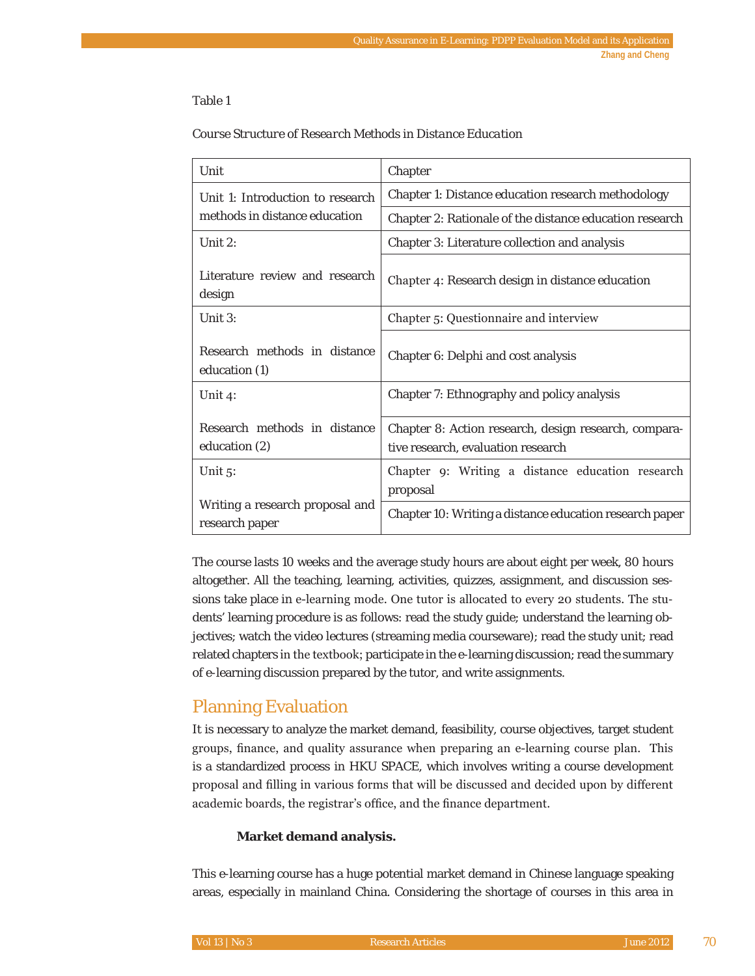#### Table 1

| Unit                                              | Chapter                                                                                     |  |  |  |  |
|---------------------------------------------------|---------------------------------------------------------------------------------------------|--|--|--|--|
| Unit 1: Introduction to research                  | Chapter 1: Distance education research methodology                                          |  |  |  |  |
| methods in distance education                     | Chapter 2: Rationale of the distance education research                                     |  |  |  |  |
| Unit $2:$                                         | Chapter 3: Literature collection and analysis                                               |  |  |  |  |
| Literature review and research<br>design          | Chapter 4: Research design in distance education                                            |  |  |  |  |
| Unit $3:$                                         | Chapter 5: Questionnaire and interview                                                      |  |  |  |  |
| Research methods in distance<br>education (1)     | Chapter 6: Delphi and cost analysis                                                         |  |  |  |  |
| Unit 4:                                           | Chapter 7: Ethnography and policy analysis                                                  |  |  |  |  |
| Research methods in distance<br>education (2)     | Chapter 8: Action research, design research, compara-<br>tive research, evaluation research |  |  |  |  |
| Unit 5:                                           | Chapter 9: Writing a distance education research<br>proposal                                |  |  |  |  |
| Writing a research proposal and<br>research paper | Chapter 10: Writing a distance education research paper                                     |  |  |  |  |

#### *Course Structure of Research Methods in Distance Education*

The course lasts 10 weeks and the average study hours are about eight per week, 80 hours altogether. All the teaching, learning, activities, quizzes, assignment, and discussion sessions take place in e-learning mode. One tutor is allocated to every 20 students. The students' learning procedure is as follows: read the study guide; understand the learning objectives; watch the video lectures (streaming media courseware); read the study unit; read related chapters in the textbook; participate in the e-learning discussion; read the summary of e-learning discussion prepared by the tutor, and write assignments.

## Planning Evaluation

It is necessary to analyze the market demand, feasibility, course objectives, target student groups, finance, and quality assurance when preparing an e-learning course plan. This is a standardized process in HKU SPACE, which involves writing a course development proposal and filling in various forms that will be discussed and decided upon by different academic boards, the registrar's office, and the finance department.

#### **Market demand analysis.**

This e-learning course has a huge potential market demand in Chinese language speaking areas, especially in mainland China. Considering the shortage of courses in this area in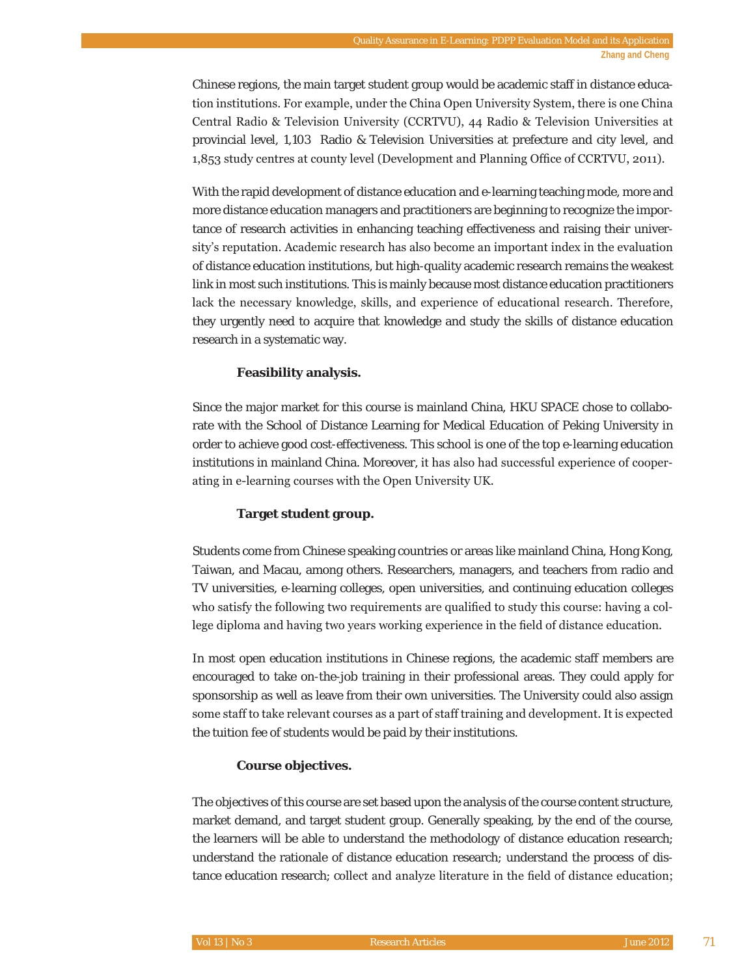Chinese regions, the main target student group would be academic staff in distance education institutions. For example, under the China Open University System, there is one China Central Radio & Television University (CCRTVU), 44 Radio & Television Universities at provincial level, 1,103 Radio & Television Universities at prefecture and city level, and 1,853 study centres at county level (Development and Planning Office of CCRTVU, 2011).

With the rapid development of distance education and e-learning teaching mode, more and more distance education managers and practitioners are beginning to recognize the importance of research activities in enhancing teaching effectiveness and raising their university's reputation. Academic research has also become an important index in the evaluation of distance education institutions, but high-quality academic research remains the weakest link in most such institutions. This is mainly because most distance education practitioners lack the necessary knowledge, skills, and experience of educational research. Therefore, they urgently need to acquire that knowledge and study the skills of distance education research in a systematic way.

#### **Feasibility analysis.**

Since the major market for this course is mainland China, HKU SPACE chose to collaborate with the School of Distance Learning for Medical Education of Peking University in order to achieve good cost-effectiveness. This school is one of the top e-learning education institutions in mainland China. Moreover, it has also had successful experience of cooperating in e-learning courses with the Open University UK.

#### **Target student group.**

Students come from Chinese speaking countries or areas like mainland China, Hong Kong, Taiwan, and Macau, among others. Researchers, managers, and teachers from radio and TV universities, e-learning colleges, open universities, and continuing education colleges who satisfy the following two requirements are qualified to study this course: having a college diploma and having two years working experience in the field of distance education.

In most open education institutions in Chinese regions, the academic staff members are encouraged to take on-the-job training in their professional areas. They could apply for sponsorship as well as leave from their own universities. The University could also assign some staff to take relevant courses as a part of staff training and development. It is expected the tuition fee of students would be paid by their institutions.

#### **Course objectives.**

The objectives of this course are set based upon the analysis of the course content structure, market demand, and target student group. Generally speaking, by the end of the course, the learners will be able to understand the methodology of distance education research; understand the rationale of distance education research; understand the process of distance education research; collect and analyze literature in the field of distance education;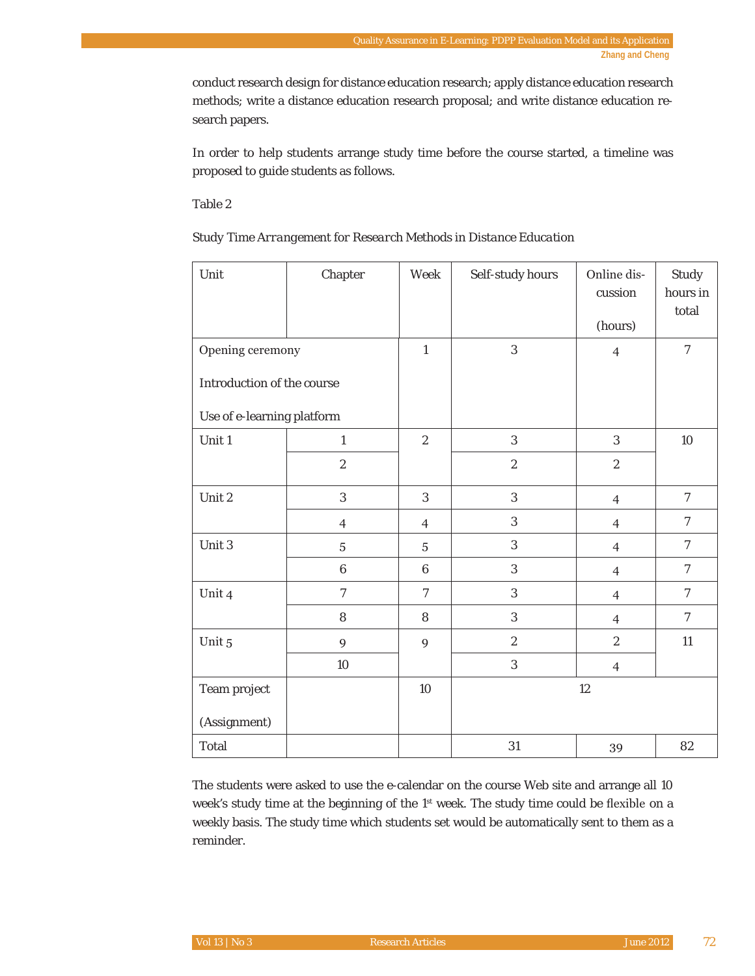conduct research design for distance education research; apply distance education research methods; write a distance education research proposal; and write distance education research papers.

In order to help students arrange study time before the course started, a timeline was proposed to guide students as follows.

Table 2

| Unit                       | Chapter          | Week           | Self-study hours | Online dis-<br>cussion | Study<br>hours in |
|----------------------------|------------------|----------------|------------------|------------------------|-------------------|
|                            |                  |                |                  | (hours)                | total             |
| Opening ceremony           |                  | $\mathbf{1}$   | $\mathfrak{Z}$   | $\overline{4}$         | $\overline{7}$    |
| Introduction of the course |                  |                |                  |                        |                   |
| Use of e-learning platform |                  |                |                  |                        |                   |
| Unit 1                     | $\mathbf{1}$     | $\overline{2}$ | 3                | $\mathfrak{Z}$         | 10                |
|                            | $\overline{2}$   |                | $\overline{2}$   | $\overline{2}$         |                   |
| Unit 2                     | 3                | 3              | $\mathfrak{Z}$   | $\overline{4}$         | $\overline{7}$    |
|                            | $\overline{4}$   | $\overline{4}$ | $\mathfrak{Z}$   | $\overline{4}$         | $\overline{7}$    |
| Unit 3                     | $\sqrt{5}$       | 5              | $\mathfrak{Z}$   | $\overline{4}$         | $\overline{7}$    |
|                            | $\boldsymbol{6}$ | 6              | $\mathfrak{Z}$   | $\overline{4}$         | $\overline{7}$    |
| Unit 4                     | $\overline{7}$   | $\overline{7}$ | $\mathfrak{Z}$   | $\overline{4}$         | $\overline{7}$    |
|                            | 8                | 8              | $\mathfrak{Z}$   | $\overline{4}$         | $\overline{7}$    |
| Unit 5                     | 9                | 9              | $\overline{2}$   | $\overline{2}$         | 11                |
|                            | 10               |                | $\mathfrak{Z}$   | $\overline{4}$         |                   |
| Team project               |                  | 10             | 12               |                        |                   |
| (Assignment)               |                  |                |                  |                        |                   |
| Total                      |                  |                | 31               | 39                     | 82                |

*Study Time Arrangement for Research Methods in Distance Education*

The students were asked to use the e-calendar on the course Web site and arrange all 10 week's study time at the beginning of the 1st week. The study time could be flexible on a weekly basis. The study time which students set would be automatically sent to them as a reminder.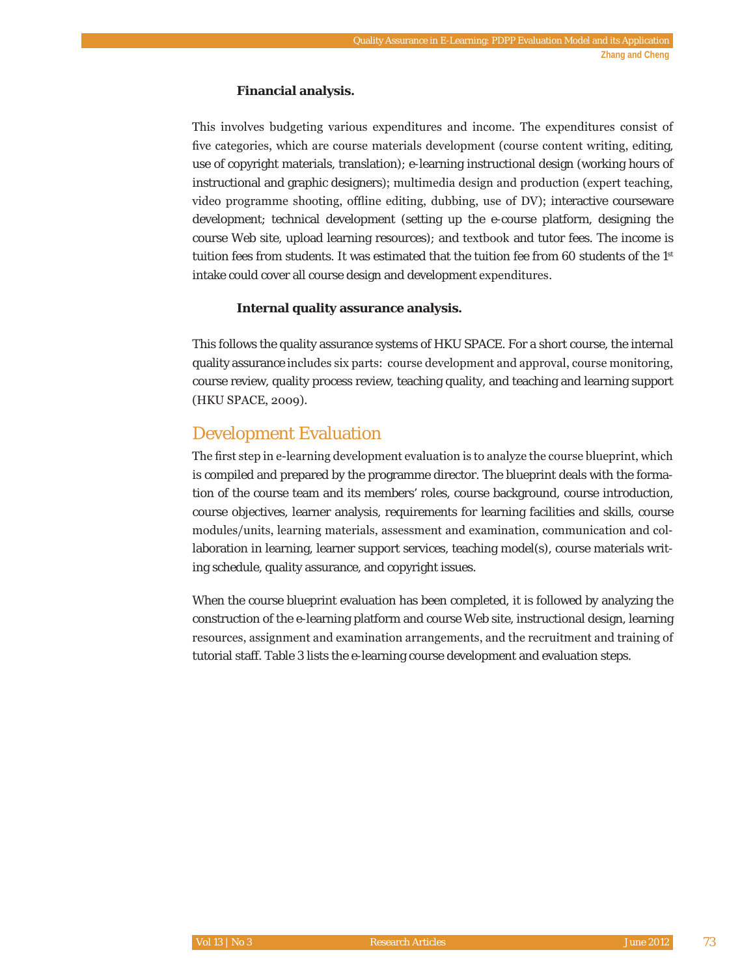#### **Financial analysis.**

This involves budgeting various expenditures and income. The expenditures consist of five categories, which are course materials development (course content writing, editing, use of copyright materials, translation); e-learning instructional design (working hours of instructional and graphic designers); multimedia design and production (expert teaching, video programme shooting, offline editing, dubbing, use of DV); interactive courseware development; technical development (setting up the e-course platform, designing the course Web site, upload learning resources); and textbook and tutor fees. The income is tuition fees from students. It was estimated that the tuition fee from 60 students of the 1st intake could cover all course design and development expenditures.

#### **Internal quality assurance analysis.**

This follows the quality assurance systems of HKU SPACE. For a short course, the internal quality assurance includes six parts: course development and approval, course monitoring, course review, quality process review, teaching quality, and teaching and learning support (HKU SPACE, 2009).

## Development Evaluation

The first step in e-learning development evaluation is to analyze the course blueprint, which is compiled and prepared by the programme director. The blueprint deals with the formation of the course team and its members' roles, course background, course introduction, course objectives, learner analysis, requirements for learning facilities and skills, course modules/units, learning materials, assessment and examination, communication and collaboration in learning, learner support services, teaching model(s), course materials writing schedule, quality assurance, and copyright issues.

When the course blueprint evaluation has been completed, it is followed by analyzing the construction of the e-learning platform and course Web site, instructional design, learning resources, assignment and examination arrangements, and the recruitment and training of tutorial staff. Table 3 lists the e-learning course development and evaluation steps.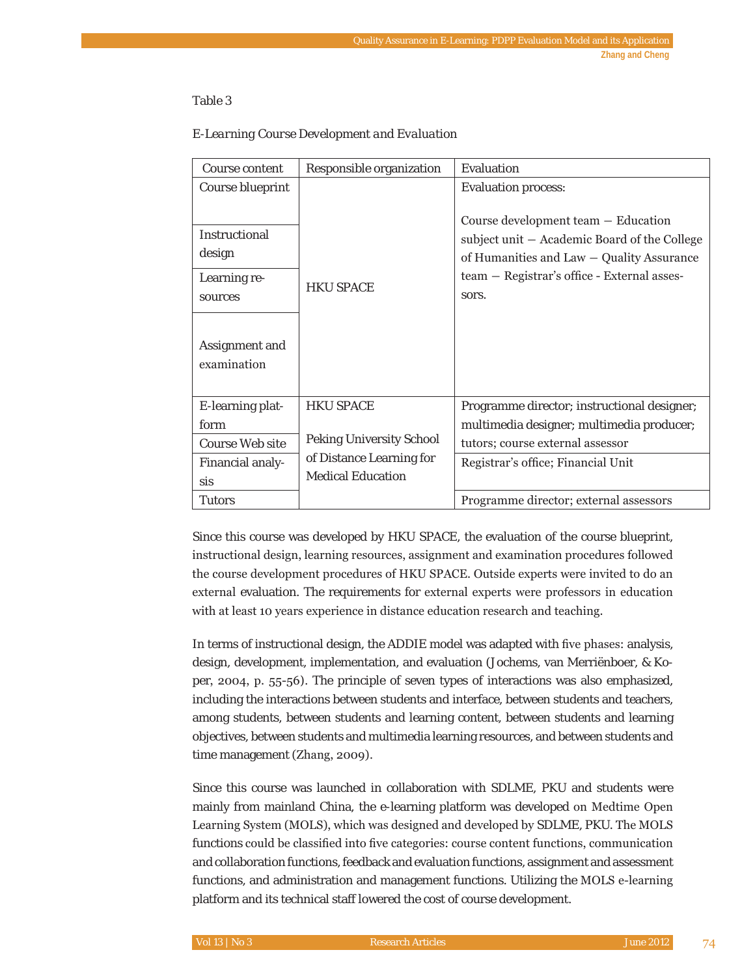#### Table 3

| Course content                | Responsible organization | Evaluation                                                                                                                                                                        |  |  |  |  |
|-------------------------------|--------------------------|-----------------------------------------------------------------------------------------------------------------------------------------------------------------------------------|--|--|--|--|
| Course blueprint              |                          | Evaluation process:                                                                                                                                                               |  |  |  |  |
| Instructional                 |                          | Course development team $-$ Education<br>subject unit – Academic Board of the College<br>of Humanities and Law - Quality Assurance<br>team - Registrar's office - External asses- |  |  |  |  |
| design                        |                          |                                                                                                                                                                                   |  |  |  |  |
| Learning re-                  | <b>HKU SPACE</b>         |                                                                                                                                                                                   |  |  |  |  |
| sources                       |                          | sors.                                                                                                                                                                             |  |  |  |  |
| Assignment and<br>examination |                          |                                                                                                                                                                                   |  |  |  |  |
| E-learning plat-              | <b>HKU SPACE</b>         | Programme director; instructional designer;                                                                                                                                       |  |  |  |  |
| form                          |                          | multimedia designer; multimedia producer;                                                                                                                                         |  |  |  |  |
| Course Web site               | Peking University School | tutors; course external assessor                                                                                                                                                  |  |  |  |  |
| Financial analy-              | of Distance Learning for | Registrar's office; Financial Unit                                                                                                                                                |  |  |  |  |
| sis                           | <b>Medical Education</b> |                                                                                                                                                                                   |  |  |  |  |
| Tutors                        |                          | Programme director; external assessors                                                                                                                                            |  |  |  |  |

#### *E-Learning Course Development and Evaluation*

Since this course was developed by HKU SPACE, the evaluation of the course blueprint, instructional design, learning resources, assignment and examination procedures followed the course development procedures of HKU SPACE. Outside experts were invited to do an external evaluation. The requirements for external experts were professors in education with at least 10 years experience in distance education research and teaching.

In terms of instructional design, the ADDIE model was adapted with five phases: analysis, design, development, implementation, and evaluation (Jochems, van Merriënboer, & Koper, 2004, p. 55-56). The principle of seven types of interactions was also emphasized, including the interactions between students and interface, between students and teachers, among students, between students and learning content, between students and learning objectives, between students and multimedia learning resources, and between students and time management (Zhang, 2009).

Since this course was launched in collaboration with SDLME, PKU and students were mainly from mainland China, the e-learning platform was developed on Medtime Open Learning System (MOLS), which was designed and developed by SDLME, PKU. The MOLS functions could be classified into five categories: course content functions, communication and collaboration functions, feedback and evaluation functions, assignment and assessment functions, and administration and management functions. Utilizing the MOLS e-learning platform and its technical staff lowered the cost of course development.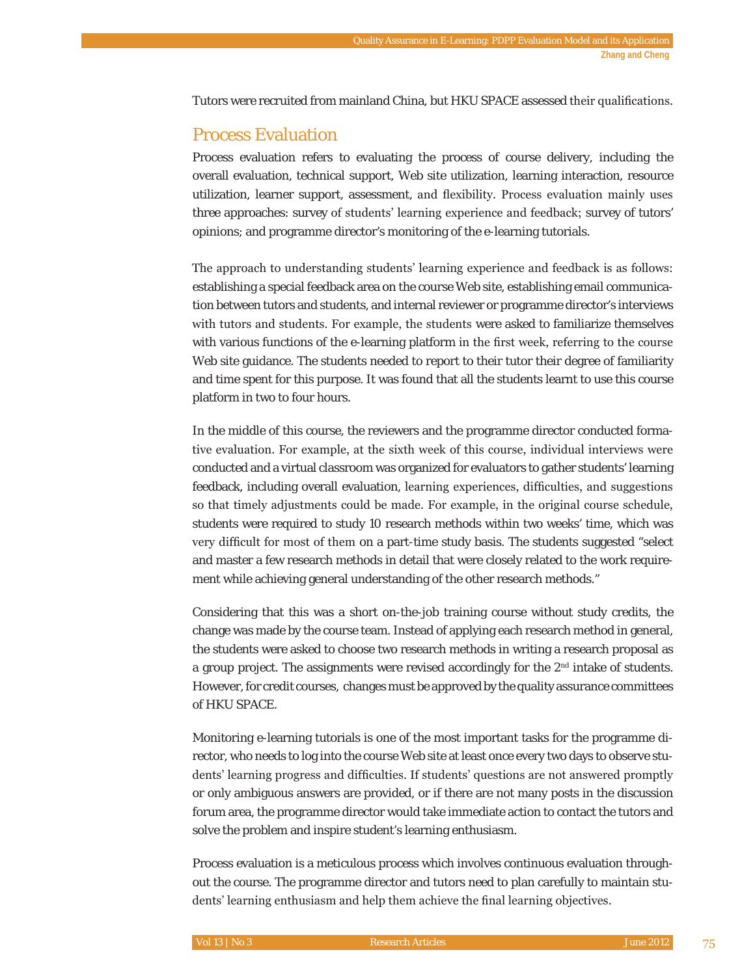Tutors were recruited from mainland China, but HKU SPACE assessed their qualifications.

## Process Evaluation

Process evaluation refers to evaluating the process of course delivery, including the overall evaluation, technical support, Web site utilization, learning interaction, resource utilization, learner support, assessment, and flexibility. Process evaluation mainly uses three approaches: survey of students' learning experience and feedback; survey of tutors' opinions; and programme director's monitoring of the e-learning tutorials.

The approach to understanding students' learning experience and feedback is as follows: establishing a special feedback area on the course Web site, establishing email communication between tutors and students, and internal reviewer or programme director's interviews with tutors and students. For example, the students were asked to familiarize themselves with various functions of the e-learning platform in the first week, referring to the course Web site guidance. The students needed to report to their tutor their degree of familiarity and time spent for this purpose. It was found that all the students learnt to use this course platform in two to four hours.

In the middle of this course, the reviewers and the programme director conducted formative evaluation. For example, at the sixth week of this course, individual interviews were conducted and a virtual classroom was organized for evaluators to gather students' learning feedback, including overall evaluation, learning experiences, difficulties, and suggestions so that timely adjustments could be made. For example, in the original course schedule, students were required to study 10 research methods within two weeks' time, which was very difficult for most of them on a part-time study basis. The students suggested "select and master a few research methods in detail that were closely related to the work requirement while achieving general understanding of the other research methods."

Considering that this was a short on-the-job training course without study credits, the change was made by the course team. Instead of applying each research method in general, the students were asked to choose two research methods in writing a research proposal as a group project. The assignments were revised accordingly for the 2<sup>nd</sup> intake of students. However, for credit courses, changes must be approved by the quality assurance committees of HKU SPACE.

Monitoring e-learning tutorials is one of the most important tasks for the programme director, who needs to log into the course Web site at least once every two days to observe students' learning progress and difficulties. If students' questions are not answered promptly or only ambiguous answers are provided, or if there are not many posts in the discussion forum area, the programme director would take immediate action to contact the tutors and solve the problem and inspire student's learning enthusiasm.

Process evaluation is a meticulous process which involves continuous evaluation throughout the course. The programme director and tutors need to plan carefully to maintain students' learning enthusiasm and help them achieve the final learning objectives.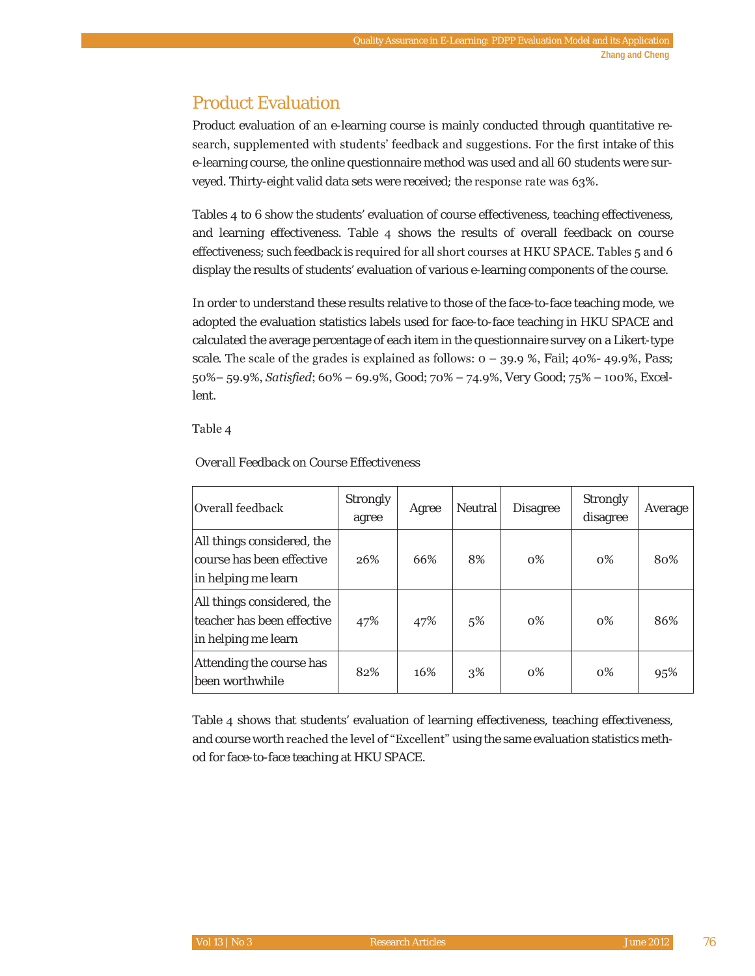## Product Evaluation

Product evaluation of an e-learning course is mainly conducted through quantitative research, supplemented with students' feedback and suggestions. For the first intake of this e-learning course, the online questionnaire method was used and all 60 students were surveyed. Thirty-eight valid data sets were received; the response rate was 63%.

Tables 4 to 6 show the students' evaluation of course effectiveness, teaching effectiveness, and learning effectiveness. Table  $4$  shows the results of overall feedback on course effectiveness; such feedback is required for all short courses at HKU SPACE. Tables 5 and 6 display the results of students' evaluation of various e-learning components of the course.

In order to understand these results relative to those of the face-to-face teaching mode, we adopted the evaluation statistics labels used for face-to-face teaching in HKU SPACE and calculated the average percentage of each item in the questionnaire survey on a Likert-type scale. The scale of the grades is explained as follows:  $0 - 39.9$  %, *Fail*; 40%-49.9%, *Pass*; ±*6DWLV¿HG*±*Good*±*Very Good*±*Excellent.* 

#### Table 4

| Overall feedback                                                                 | Strongly<br>agree | Agree | <b>Neutral</b> | <b>Disagree</b> | Strongly<br>disagree | Average |
|----------------------------------------------------------------------------------|-------------------|-------|----------------|-----------------|----------------------|---------|
| All things considered, the<br>course has been effective<br>in helping me learn   | 26%               | 66%   | 8%             | $0\%$           | $0\%$                | 80%     |
| All things considered, the<br>Iteacher has been effective<br>in helping me learn | 47%               | 47%   | 5%             | $0\%$           | $0\%$                | 86%     |
| Attending the course has<br>lbeen worthwhile                                     | 82%               | 16%   | 3%             | $0\%$           | $0\%$                | 95%     |

#### *Overall Feedback on Course Effectiveness*

Table 4 shows that students' evaluation of learning effectiveness, teaching effectiveness, and course worth reached the level of "Excellent" using the same evaluation statistics method for face-to-face teaching at HKU SPACE.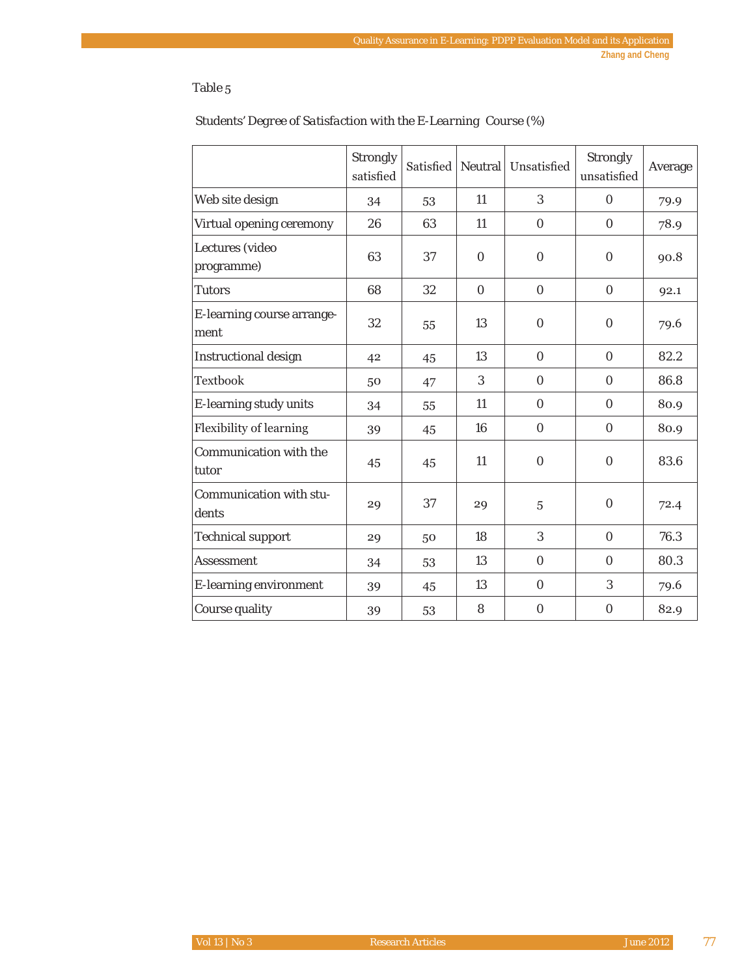### Table<sub>5</sub>

|                                    | Strongly<br>satisfied | Satisfied | Neutral  | Unsatisfied | Strongly<br>unsatisfied | Average |  |
|------------------------------------|-----------------------|-----------|----------|-------------|-------------------------|---------|--|
| Web site design                    | 34                    | 53        | 11       | 3           | 0                       | 79.9    |  |
| Virtual opening ceremony           | 26                    | 63        | 11       | $\Omega$    | 0                       | 78.9    |  |
| Lectures (video<br>programme)      | 63                    | 37        | $\Omega$ | $\Omega$    | $\Omega$                | 90.8    |  |
| <b>Tutors</b>                      | 68                    | 32        | $\Omega$ | $\mathbf 0$ | 0                       | 92.1    |  |
| E-learning course arrange-<br>ment | 32                    | 55        | 13       | $\Omega$    | $\Omega$                | 79.6    |  |
| Instructional design               | 42                    | 45        | 13       | $\Omega$    | $\Omega$                | 82.2    |  |
| <b>Textbook</b>                    | 50                    | 47        | 3        | $\Omega$    | $\Omega$                | 86.8    |  |
| E-learning study units             | 34                    | 55        | 11       | $\Omega$    | 0                       | 80.9    |  |
| Flexibility of learning            | 39                    | 45        | 16       | $\Omega$    | 0                       | 80.9    |  |
| Communication with the<br>tutor    | 45                    | 45        | 11       | $\Omega$    | 0                       |         |  |
| Communication with stu-<br>dents   | 29                    | 37        | 29       | 5           | $\Omega$                | 72.4    |  |
| Technical support                  | 29                    | 50        | 18       | 3           | $\Omega$                | 76.3    |  |
| Assessment                         | 34                    | 53        | 13       | $\Omega$    | $\Omega$                | 80.3    |  |
| E-learning environment             | 39                    | 45        | 13       | $\Omega$    | 3                       | 79.6    |  |
| Course quality                     | 39                    | 53        | 8        | $\mathbf 0$ | 0                       | 82.9    |  |

### *Students' Degree of Satisfaction with the E-Learning Course (%)*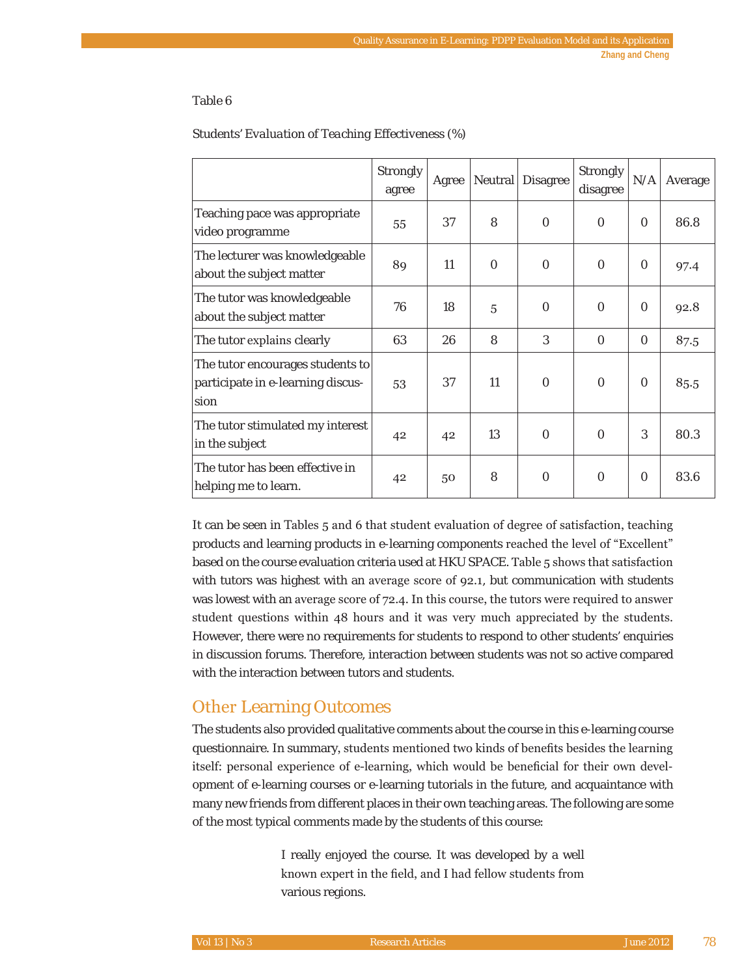#### Table 6

|                                                                               | Strongly<br>agree | Agree | Neutral  | <b>Disagree</b> | Strongly<br>disagree | N/A      | Average |
|-------------------------------------------------------------------------------|-------------------|-------|----------|-----------------|----------------------|----------|---------|
| Teaching pace was appropriate<br>video programme                              | 55                | 37    | 8        | $\Omega$        | $\Omega$             | $\Omega$ | 86.8    |
| The lecturer was knowledgeable<br>about the subject matter                    | 89                | 11    | $\Omega$ | $\Omega$        | $\Omega$             | $\Omega$ | 97.4    |
| The tutor was knowledgeable<br>about the subject matter                       | 76                | 18    | 5        | $\Omega$        | $\Omega$             | $\Omega$ | 92.8    |
| The tutor explains clearly                                                    | 63                | 26    | 8        | 3               | $\Omega$             | $\Omega$ | 87.5    |
| The tutor encourages students to<br>participate in e-learning discus-<br>sion | 53                | 37    | 11       | $\Omega$        | $\Omega$             | $\Omega$ | 85.5    |
| The tutor stimulated my interest<br>in the subject                            | 42                | 42    | 13       | $\Omega$        | $\Omega$             | 3        | 80.3    |
| The tutor has been effective in<br>helping me to learn.                       | 42                | 50    | 8        | $\Omega$        | $\Omega$             | $\Omega$ | 83.6    |

#### *Students' Evaluation of Teaching Effectiveness (%)*

It can be seen in Tables 5 and 6 that student evaluation of degree of satisfaction, teaching products and learning products in e-learning components reached the level of "Excellent" based on the course evaluation criteria used at HKU SPACE. Table  $5$  shows that satisfaction with tutors was highest with an average score of  $92.1$ , but communication with students was lowest with an average score of  $72.4$ . In this course, the tutors were required to answer student questions within  $48$  hours and it was very much appreciated by the students. However, there were no requirements for students to respond to other students' enquiries in discussion forums. Therefore, interaction between students was not so active compared with the interaction between tutors and students.

## **Other Learning Outcomes**

The students also provided qualitative comments about the course in this e-learning course questionnaire. In summary, students mentioned two kinds of benefits besides the learning itself: personal experience of e-learning, which would be beneficial for their own development of e-learning courses or e-learning tutorials in the future, and acquaintance with many new friends from different places in their own teaching areas. The following are some of the most typical comments made by the students of this course:

> I really enjoyed the course. It was developed by a well known expert in the field, and I had fellow students from various regions.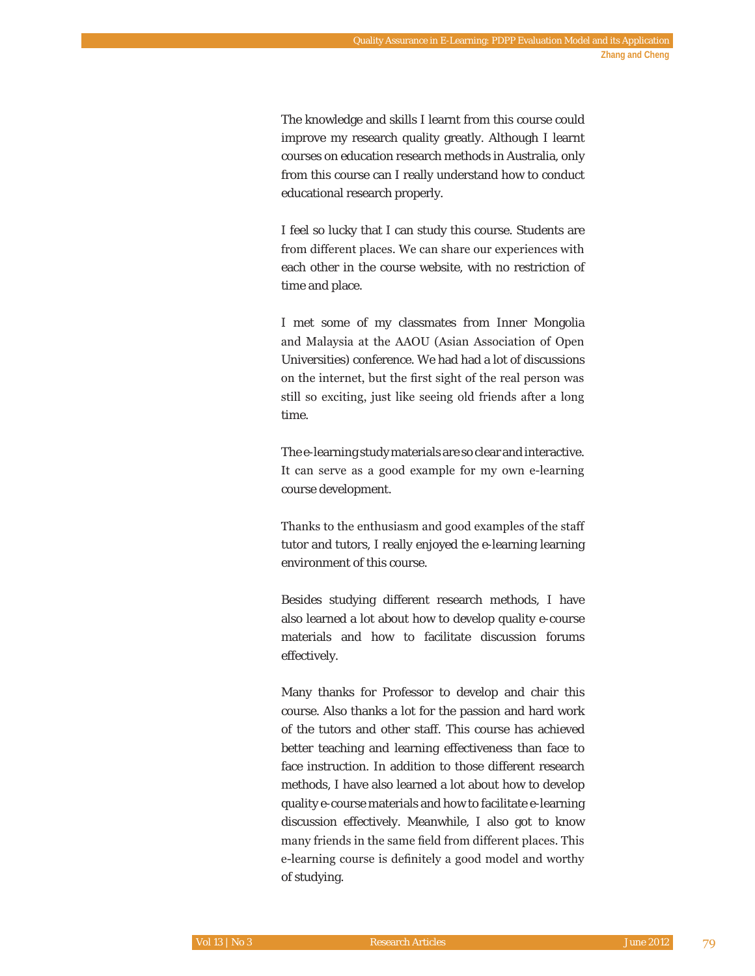The knowledge and skills I learnt from this course could improve my research quality greatly. Although I learnt courses on education research methods in Australia, only from this course can I really understand how to conduct educational research properly.

I feel so lucky that I can study this course. Students are from different places. We can share our experiences with each other in the course website, with no restriction of time and place.

I met some of my classmates from Inner Mongolia and Malaysia at the AAOU (Asian Association of Open Universities) conference. We had had a lot of discussions on the internet, but the first sight of the real person was still so exciting, just like seeing old friends after a long time.

The e-learning study materials are so clear and interactive. It can serve as a good example for my own e-learning course development.

Thanks to the enthusiasm and good examples of the staff tutor and tutors, I really enjoyed the e-learning learning environment of this course.

Besides studying different research methods, I have also learned a lot about how to develop quality e-course materials and how to facilitate discussion forums effectively.

Many thanks for Professor to develop and chair this course. Also thanks a lot for the passion and hard work of the tutors and other staff. This course has achieved better teaching and learning effectiveness than face to face instruction. In addition to those different research methods, I have also learned a lot about how to develop quality e-course materials and how to facilitate e-learning discussion effectively. Meanwhile, I also got to know many friends in the same field from different places. This e-learning course is definitely a good model and worthy of studying.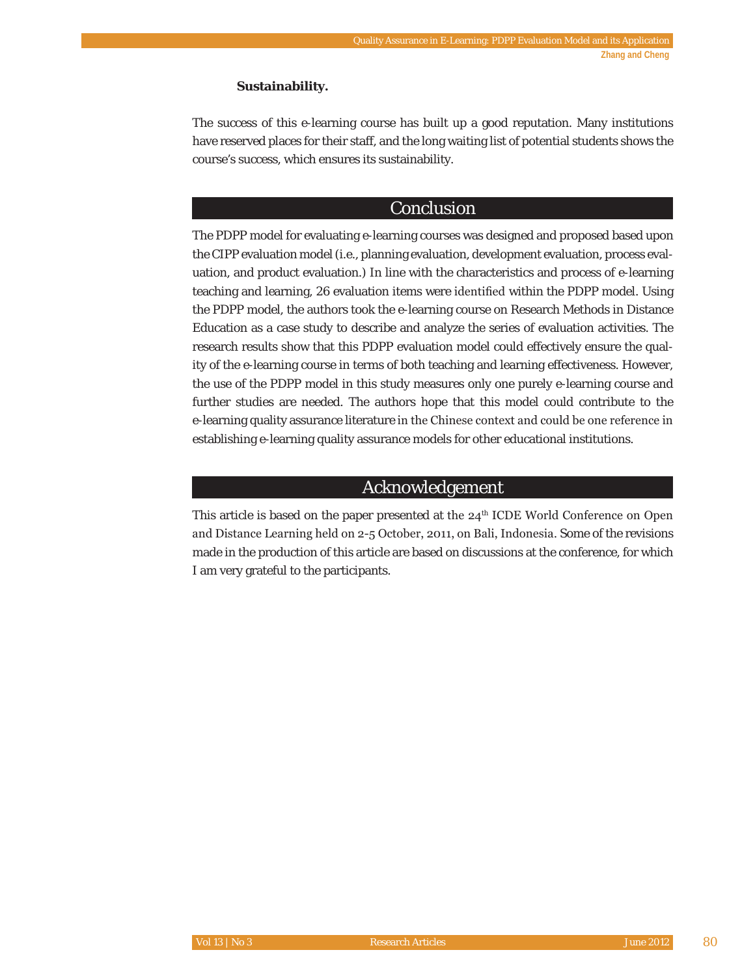#### **Sustainability.**

The success of this e-learning course has built up a good reputation. Many institutions have reserved places for their staff, and the long waiting list of potential students shows the course's success, which ensures its sustainability.

### Conclusion

The PDPP model for evaluating e-learning courses was designed and proposed based upon the CIPP evaluation model (i.e., planning evaluation, development evaluation, process evaluation, and product evaluation.) In line with the characteristics and process of e-learning teaching and learning, 26 evaluation items were identified within the PDPP model. Using the PDPP model, the authors took the e-learning course on Research Methods in Distance Education as a case study to describe and analyze the series of evaluation activities. The research results show that this PDPP evaluation model could effectively ensure the quality of the e-learning course in terms of both teaching and learning effectiveness. However, the use of the PDPP model in this study measures only one purely e-learning course and further studies are needed. The authors hope that this model could contribute to the e-learning quality assurance literature in the Chinese context and could be one reference in establishing e-learning quality assurance models for other educational institutions.

### Acknowledgement

This article is based on the paper presented at the  $24<sup>th</sup>$  ICDE World Conference on Open and Distance Learning held on 2-5 October, 2011, on Bali, Indonesia. Some of the revisions made in the production of this article are based on discussions at the conference, for which I am very grateful to the participants.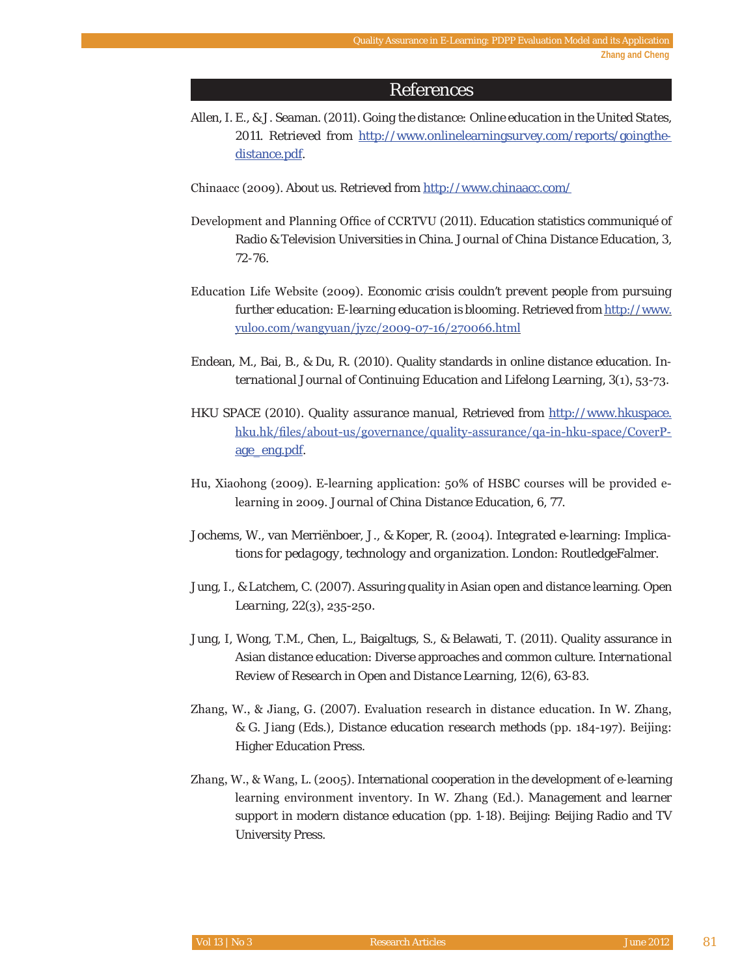#### References

Allen, I. E., & J. Seaman. (2011). *Going the distance: Online education in the United States, 2011*. Retrieved from http://www.onlinelearningsurvey.com/reports/goingthedistance.pdf.

Chinaacc (2009). *About us.* Retrieved from http://www.chinaacc.com/

- Development and Planning Office of CCRTVU (2011). Education statistics communiqué of Radio & Television Universities in China. *Journal of China Distance Education*, *3*, 72-76.
- Education Life Website (2009). *Economic crisis couldn't prevent people from pursuing further education: E-learning education is blooming*. Retrieved from http://www.  $\text{yuloo.com/wangyuan}/\text{iyzc}/2009-07-16/270066.html$
- Endean, M., Bai, B., & Du, R. (2010). Quality standards in online distance education. *International Journal of Continuing Education and Lifelong Learning, 3*
- HKU SPACE (2010). *Quality assurance manual*, Retrieved from http://www.hkuspace. hku.hk/files/about-us/governance/quality-assurance/qa-in-hku-space/CoverPage\_eng.pdf.
- Hu, Xiaohong (2009). E-learning application: 50% of HSBC courses will be provided elearning in 2009. Journal of China Distance Education, 6, 77.
- Jochems, W., van Merriënboer, J., & Koper, R. *Integrated e*-*learning*: *Implications for pedagogy*, *technology and organization.* London: RoutledgeFalmer*.*
- Jung, I., & Latchem, C. (2007). Assuring quality in Asian open and distance learning. *Open Learning, 22*
- Jung, I, Wong, T.M., Chen, L., Baigaltugs, S., & Belawati, T. (2011). Quality assurance in Asian distance education: Diverse approaches and common culture. *International Review of Research in Open and Distance Learning, 12*(6), 63-83.
- Zhang, W., & Jiang, G. (2007). Evaluation research in distance education. In W. Zhang, & G. Jiang (Eds.), *Distance education research methods* (pp. 184-197). Beijing: Higher Education Press.
- Zhang, W., & Wang, L. (2005). International cooperation in the development of e-learning learning environment inventory. In W. Zhang (Ed.). *Management and learner support in modern distance education* (pp. 1-18). Beijing: Beijing Radio and TV University Press.